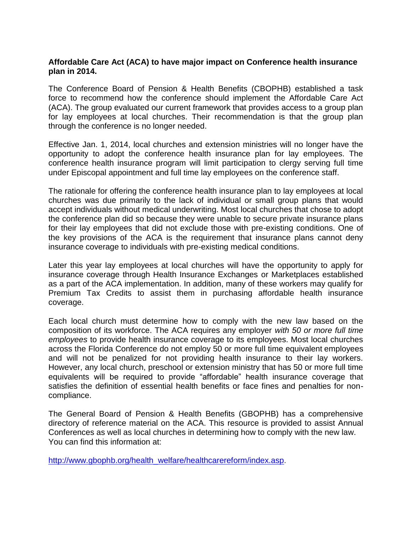## **Affordable Care Act (ACA) to have major impact on Conference health insurance plan in 2014.**

The Conference Board of Pension & Health Benefits (CBOPHB) established a task force to recommend how the conference should implement the Affordable Care Act (ACA). The group evaluated our current framework that provides access to a group plan for lay employees at local churches. Their recommendation is that the group plan through the conference is no longer needed.

Effective Jan. 1, 2014, local churches and extension ministries will no longer have the opportunity to adopt the conference health insurance plan for lay employees. The conference health insurance program will limit participation to clergy serving full time under Episcopal appointment and full time lay employees on the conference staff.

The rationale for offering the conference health insurance plan to lay employees at local churches was due primarily to the lack of individual or small group plans that would accept individuals without medical underwriting. Most local churches that chose to adopt the conference plan did so because they were unable to secure private insurance plans for their lay employees that did not exclude those with pre-existing conditions. One of the key provisions of the ACA is the requirement that insurance plans cannot deny insurance coverage to individuals with pre-existing medical conditions.

Later this year lay employees at local churches will have the opportunity to apply for insurance coverage through Health Insurance Exchanges or Marketplaces established as a part of the ACA implementation. In addition, many of these workers may qualify for Premium Tax Credits to assist them in purchasing affordable health insurance coverage.

Each local church must determine how to comply with the new law based on the composition of its workforce. The ACA requires any employer *with 50 or more full time employees* to provide health insurance coverage to its employees. Most local churches across the Florida Conference do not employ 50 or more full time equivalent employees and will not be penalized for not providing health insurance to their lay workers. However, any local church, preschool or extension ministry that has 50 or more full time equivalents will be required to provide "affordable" health insurance coverage that satisfies the definition of essential health benefits or face fines and penalties for noncompliance.

The General Board of Pension & Health Benefits (GBOPHB) has a comprehensive directory of reference material on the ACA. This resource is provided to assist Annual Conferences as well as local churches in determining how to comply with the new law. You can find this information at:

[http://www.gbophb.org/health\\_welfare/healthcarereform/index.asp](http://www.gbophb.org/health_welfare/healthcarereform/index.asp).